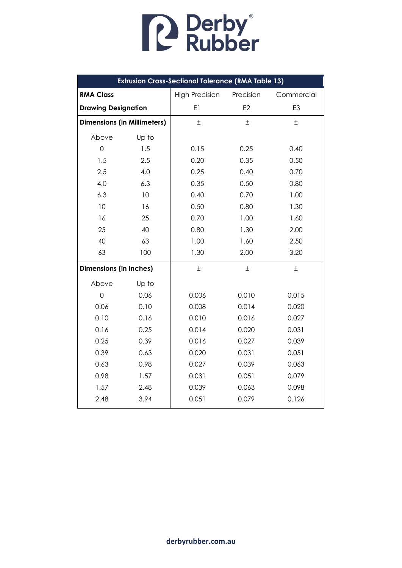| <b>Extrusion Cross-Sectional Tolerance (RMA Table 13)</b> |       |                       |                |            |  |
|-----------------------------------------------------------|-------|-----------------------|----------------|------------|--|
| <b>RMA Class</b>                                          |       | <b>High Precision</b> | Precision      | Commercial |  |
| <b>Drawing Designation</b>                                |       | E1                    | E <sub>2</sub> | E3         |  |
| <b>Dimensions (in Millimeters)</b>                        |       | $\pm$                 | $\pm$          | 土          |  |
| Above                                                     | Up to |                       |                |            |  |
| $\overline{0}$                                            | 1.5   | 0.15                  | 0.25           | 0.40       |  |
| 1.5                                                       | 2.5   | 0.20                  | 0.35           | 0.50       |  |
| 2.5                                                       | 4.0   | 0.25                  | 0.40           | 0.70       |  |
| 4.0                                                       | 6.3   | 0.35                  | 0.50           | 0.80       |  |
| 6.3                                                       | 10    | 0.40                  | 0.70           | 1.00       |  |
| 10                                                        | 16    | 0.50                  | 0.80           | 1.30       |  |
| 16                                                        | 25    | 0.70                  | 1.00           | 1.60       |  |
| 25                                                        | 40    | 0.80                  | 1.30           | 2.00       |  |
| 40                                                        | 63    | 1.00                  | 1.60           | 2.50       |  |
| 63                                                        | 100   | 1.30                  | 2.00           | 3.20       |  |
| <b>Dimensions (in Inches)</b>                             |       | $\pm$                 | $\pm$          | $\pm$      |  |
| Above                                                     | Up to |                       |                |            |  |
| $\mathbf 0$                                               | 0.06  | 0.006                 | 0.010          | 0.015      |  |
| 0.06                                                      | 0.10  | 0.008                 | 0.014          | 0.020      |  |
| 0.10                                                      | 0.16  | 0.010                 | 0.016          | 0.027      |  |
| 0.16                                                      | 0.25  | 0.014                 | 0.020          | 0.031      |  |
| 0.25                                                      | 0.39  | 0.016                 | 0.027          | 0.039      |  |
| 0.39                                                      | 0.63  | 0.020                 | 0.031          | 0.051      |  |
| 0.63                                                      | 0.98  | 0.027                 | 0.039          | 0.063      |  |
| 0.98                                                      | 1.57  | 0.031                 | 0.051          | 0.079      |  |
| 1.57                                                      | 2.48  | 0.039                 | 0.063          | 0.098      |  |
| 2.48                                                      | 3.94  | 0.051                 | 0.079          | 0.126      |  |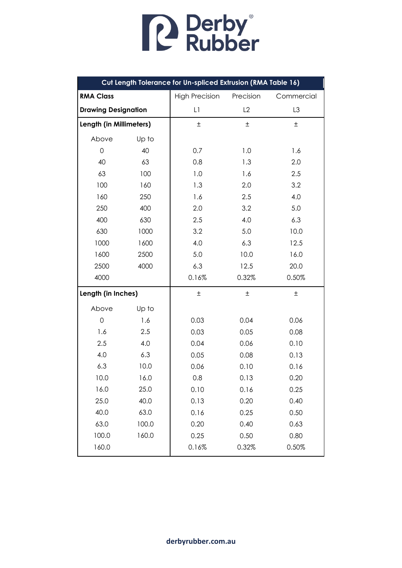| Cut Length Tolerance for Un-spliced Extrusion (RMA Table 16) |       |                                    |       |            |  |
|--------------------------------------------------------------|-------|------------------------------------|-------|------------|--|
| <b>RMA Class</b>                                             |       | <b>High Precision</b><br>Precision |       | Commercial |  |
| <b>Drawing Designation</b>                                   |       | L1                                 | L2    | L3         |  |
| Length (in Millimeters)                                      |       | $\pm$                              | $\pm$ | $\pm$      |  |
| Above                                                        | Up to |                                    |       |            |  |
| 0                                                            | 40    | 0.7                                | 1.0   | 1.6        |  |
| 40                                                           | 63    | 0.8                                | 1.3   | 2.0        |  |
| 63                                                           | 100   | 1.0                                | 1.6   | 2.5        |  |
| 100                                                          | 160   | 1.3                                | 2.0   | 3.2        |  |
| 160                                                          | 250   | 1.6                                | 2.5   | 4.0        |  |
| 250                                                          | 400   | 2.0                                | 3.2   | 5.0        |  |
| 400                                                          | 630   | 2.5                                | 4.0   | 6.3        |  |
| 630                                                          | 1000  | 3.2                                | 5.0   | 10.0       |  |
| 1000                                                         | 1600  | 4.0                                | 6.3   | 12.5       |  |
| 1600                                                         | 2500  | 5.0                                | 10.0  | 16.0       |  |
| 2500                                                         | 4000  | 6.3                                | 12.5  | 20.0       |  |
| 4000                                                         |       | 0.16%                              | 0.32% | 0.50%      |  |
| Length (in Inches)                                           |       | $\pm$                              | $\pm$ | $\pm$      |  |
| Above                                                        | Up to |                                    |       |            |  |
| 0                                                            | 1.6   | 0.03                               | 0.04  | 0.06       |  |
| 1.6                                                          | 2.5   | 0.03                               | 0.05  | 0.08       |  |
| 2.5                                                          | 4.0   | 0.04                               | 0.06  | 0.10       |  |
| 4.0                                                          | 6.3   | 0.05                               | 0.08  | 0.13       |  |
| 6.3                                                          | 10.0  | 0.06                               | 0.10  | 0.16       |  |
| 10.0                                                         | 16.0  | 0.8                                | 0.13  | 0.20       |  |
| 16.0                                                         | 25.0  | 0.10                               | 0.16  | 0.25       |  |
| 25.0                                                         | 40.0  | 0.13                               | 0.20  | 0.40       |  |
| 40.0                                                         | 63.0  | 0.16<br>0.25                       |       | 0.50       |  |
| 63.0                                                         | 100.0 | 0.20                               | 0.40  | 0.63       |  |
| 100.0                                                        | 160.0 | 0.25                               | 0.50  | 0.80       |  |
| 160.0                                                        |       | 0.16%                              | 0.32% | 0.50%      |  |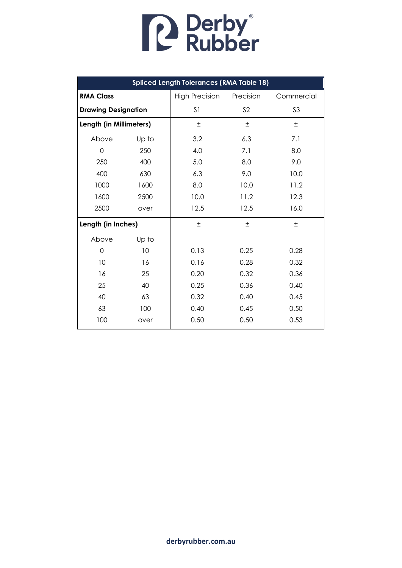

| <b>Spliced Length Tolerances (RMA Table 18)</b> |       |                       |                |                |  |
|-------------------------------------------------|-------|-----------------------|----------------|----------------|--|
| <b>RMA Class</b>                                |       | <b>High Precision</b> | Precision      | Commercial     |  |
| <b>Drawing Designation</b>                      |       | S <sub>1</sub>        | S <sub>2</sub> | S <sub>3</sub> |  |
| Length (in Millimeters)                         |       | $\pm$                 | $\pm$          | $\pm$          |  |
| Above                                           | Up to | 3.2                   | 6.3            | 7.1            |  |
| $\mathbf 0$                                     | 250   | 4.0                   | 7.1            | 8.0            |  |
| 250                                             | 400   | 5.0                   | 8.0            | 9.0            |  |
| 400                                             | 630   | 6.3                   | 9.0            | 10.0           |  |
| 1000                                            | 1600  | 8.0                   | 10.0           | 11.2           |  |
| 1600                                            | 2500  | 10.0                  | 11.2           | 12.3           |  |
| 2500                                            | over  | 12.5                  | 12.5           | 16.0           |  |
| Length (in Inches)                              |       | $\pm$                 | $\pm$          | 土              |  |
| Above                                           | Up to |                       |                |                |  |
| 0                                               | 10    | 0.13                  | 0.25           | 0.28           |  |
| 10                                              | 16    | 0.16                  | 0.28           | 0.32           |  |
| 16                                              | 25    | 0.20                  | 0.32           | 0.36           |  |
| 25                                              | 40    | 0.25                  | 0.36           | 0.40           |  |
| 40                                              | 63    | 0.32                  | 0.40           | 0.45           |  |
| 63                                              | 100   | 0.40                  | 0.45           | 0.50           |  |
| 100                                             | over  | 0.50                  | 0.50           | 0.53           |  |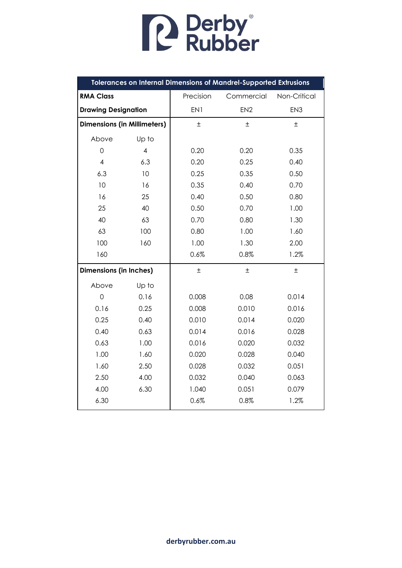| <b>Tolerances on Internal Dimensions of Mandrel-Supported Extrusions</b> |                          |              |                 |                 |  |
|--------------------------------------------------------------------------|--------------------------|--------------|-----------------|-----------------|--|
| <b>RMA Class</b>                                                         |                          | Precision    | Commercial      | Non-Critical    |  |
| <b>Drawing Designation</b>                                               |                          | EN1          | EN <sub>2</sub> | EN <sub>3</sub> |  |
| <b>Dimensions (in Millimeters)</b>                                       |                          | 土            | Ŧ               | $\pm$           |  |
| Above                                                                    | Up to                    |              |                 |                 |  |
| 0                                                                        | $\overline{\mathcal{A}}$ | 0.20         | 0.20            | 0.35            |  |
| $\overline{4}$                                                           | 6.3                      | 0.20         | 0.25            | 0.40            |  |
| 6.3                                                                      | 10                       | 0.25         | 0.35            | 0.50            |  |
| 10                                                                       | 16                       | 0.35         | 0.40            | 0.70            |  |
| 16                                                                       | 25                       | 0.40         | 0.50            | 0.80            |  |
| 25                                                                       | 40                       | 0.50         | 0.70            | 1.00            |  |
| 40                                                                       | 63                       | 0.70         | 0.80            | 1.30            |  |
| 63                                                                       | 100                      | 0.80         | 1.00            | 1.60            |  |
| 100                                                                      | 160                      | 1.00         | 1.30            | 2.00            |  |
| 160                                                                      |                          | 0.6%<br>0.8% |                 | 1.2%            |  |
| <b>Dimensions (in Inches)</b>                                            |                          | $\pm$        | $\pm$           | $\pm$           |  |
| Above                                                                    | Up to                    |              |                 |                 |  |
| $\overline{O}$                                                           | 0.16                     | 0.008        | 0.08            | 0.014           |  |
| 0.16                                                                     | 0.25                     | 0.008        | 0.010           | 0.016           |  |
| 0.25                                                                     | 0.40                     | 0.010        | 0.014           | 0.020           |  |
| 0.40                                                                     | 0.63                     | 0.014        | 0.016           | 0.028           |  |
| 0.63                                                                     | 1.00                     | 0.016        | 0.020           | 0.032           |  |
| 1.00                                                                     | 1.60                     | 0.020        | 0.028           | 0.040           |  |
| 1.60                                                                     | 2.50                     | 0.028        | 0.051<br>0.032  |                 |  |
| 2.50                                                                     | 4.00                     | 0.032        | 0.040           | 0.063           |  |
| 4.00                                                                     | 6.30                     | 1.040        | 0.051           | 0.079           |  |
| 6.30                                                                     |                          | 0.6%         | 0.8%            | 1.2%            |  |